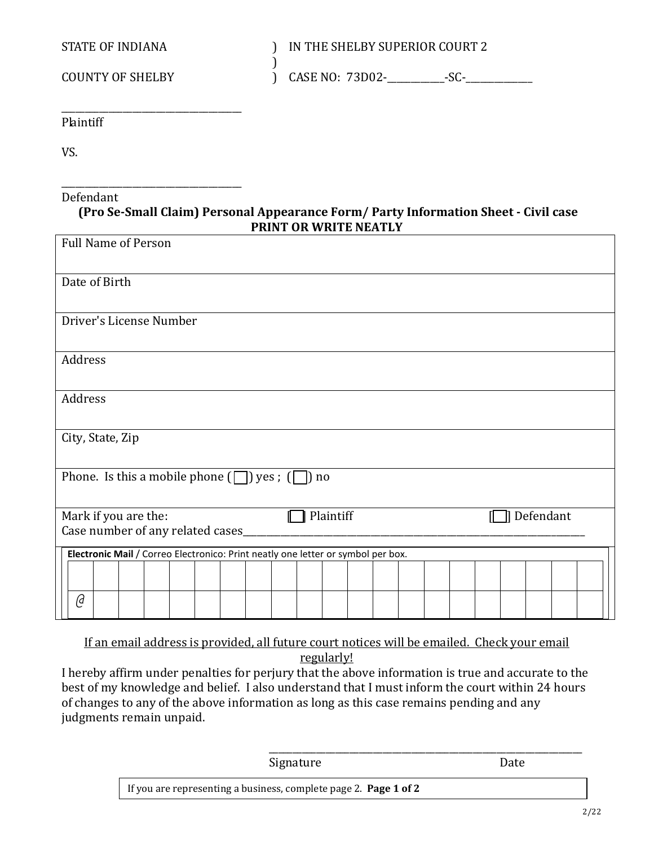STATE OF INDIANA ) IN THE SHELBY SUPERIOR COURT 2

 $\text{COUNTY OF SHELBY}$  (ASE NO:  $\text{73D02-}\_\_\_\_\_\_\_S\text{SC-}\_\_\_\_\_\_\_S$ 

\_\_\_\_\_\_\_\_\_\_\_\_\_\_\_\_\_\_\_\_\_\_\_\_\_\_\_\_\_\_\_\_\_\_\_\_\_\_ Plaintiff

VS.

## \_\_\_\_\_\_\_\_\_\_\_\_\_\_\_\_\_\_\_\_\_\_\_\_\_\_\_\_\_\_\_\_\_\_\_\_\_\_ Defendant

## **(Pro Se-Small Claim) Personal Appearance Form/ Party Information Sheet - Civil case PRINT OR WRITE NEATLY**

)

| <b>Full Name of Person</b>                                                       |           |
|----------------------------------------------------------------------------------|-----------|
| Date of Birth                                                                    |           |
| Driver's License Number                                                          |           |
| Address                                                                          |           |
| Address                                                                          |           |
| City, State, Zip                                                                 |           |
| Phone. Is this a mobile phone $(\Box)$ yes; $(\Box)$ no                          |           |
| Plaintiff<br>Mark if you are the:<br>ſ<br>Case number of any related cases_      | Defendant |
| Electronic Mail / Correo Electronico: Print neatly one letter or symbol per box. |           |
|                                                                                  |           |
| @                                                                                |           |

If an email address is provided, all future court notices will be emailed. Check your email regularly!

I hereby affirm under penalties for perjury that the above information is true and accurate to the best of my knowledge and belief. I also understand that I must inform the court within 24 hours of changes to any of the above information as long as this case remains pending and any judgments remain unpaid.

| Signature                                                        | Date |
|------------------------------------------------------------------|------|
| If you are representing a business, complete page 2. Page 1 of 2 |      |